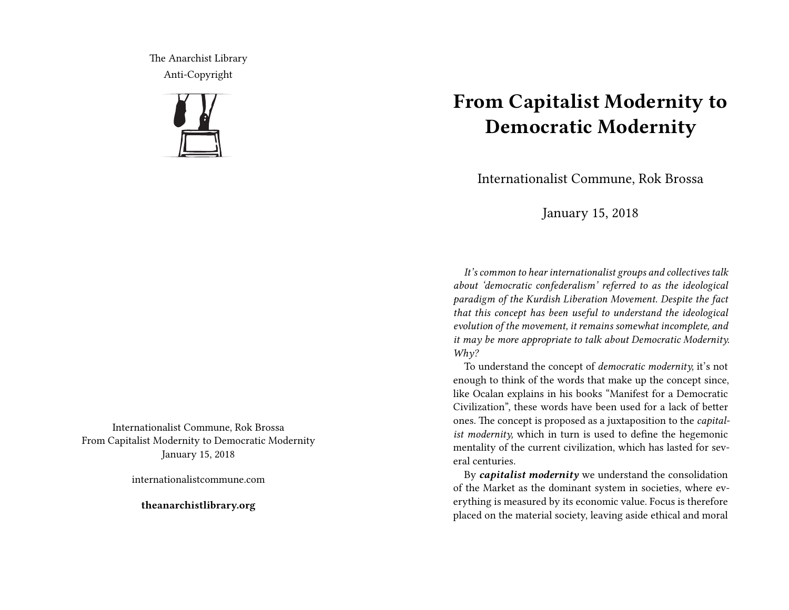The Anarchist Library Anti-Copyright



Internationalist Commune, Rok Brossa From Capitalist Modernity to Democratic Modernity January 15, 2018

internationalistcommune.com

**theanarchistlibrary.org**

## **From Capitalist Modernity to Democratic Modernity**

Internationalist Commune, Rok Brossa

January 15, 2018

*It's common to hear internationalist groups and collectives talk about 'democratic confederalism' referred to as the ideological paradigm of the Kurdish Liberation Movement. Despite the fact that this concept has been useful to understand the ideological evolution of the movement, it remains somewhat incomplete, and it may be more appropriate to talk about Democratic Modernity. Why?*

To understand the concept of *democratic modernity,* it's not enough to think of the words that make up the concept since, like Ocalan explains in his books "Manifest for a Democratic Civilization", these words have been used for a lack of better ones. The concept is proposed as a juxtaposition to the *capitalist modernity,* which in turn is used to define the hegemonic mentality of the current civilization, which has lasted for several centuries.

By *capitalist modernity* we understand the consolidation of the Market as the dominant system in societies, where everything is measured by its economic value. Focus is therefore placed on the material society, leaving aside ethical and moral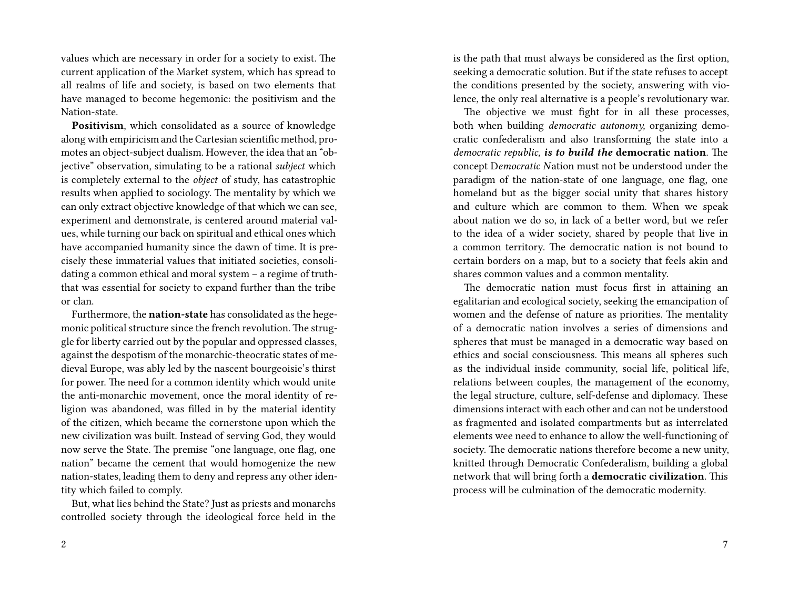values which are necessary in order for a society to exist. The current application of the Market system, which has spread to all realms of life and society, is based on two elements that have managed to become hegemonic: the positivism and the Nation-state.

**Positivism**, which consolidated as a source of knowledge along with empiricism and the Cartesian scientific method, promotes an object-subject dualism. However, the idea that an "objective" observation, simulating to be a rational *subject* which is completely external to the *object* of study, has catastrophic results when applied to sociology. The mentality by which we can only extract objective knowledge of that which we can see, experiment and demonstrate, is centered around material values, while turning our back on spiritual and ethical ones which have accompanied humanity since the dawn of time. It is precisely these immaterial values that initiated societies, consolidating a common ethical and moral system – a regime of truththat was essential for society to expand further than the tribe or clan.

Furthermore, the **nation-state** has consolidated as the hegemonic political structure since the french revolution. The struggle for liberty carried out by the popular and oppressed classes, against the despotism of the monarchic-theocratic states of medieval Europe, was ably led by the nascent bourgeoisie's thirst for power. The need for a common identity which would unite the anti-monarchic movement, once the moral identity of religion was abandoned, was filled in by the material identity of the citizen, which became the cornerstone upon which the new civilization was built. Instead of serving God, they would now serve the State. The premise "one language, one flag, one nation" became the cement that would homogenize the new nation-states, leading them to deny and repress any other identity which failed to comply.

But, what lies behind the State? Just as priests and monarchs controlled society through the ideological force held in the

is the path that must always be considered as the first option, seeking a democratic solution. But if the state refuses to accept the conditions presented by the society, answering with violence, the only real alternative is a people's revolutionary war.

The objective we must fight for in all these processes, both when building *democratic autonomy,* organizing democratic confederalism and also transforming the state into a *democratic republic, is to build the* **democratic nation**. The concept D*emocratic N*ation must not be understood under the paradigm of the nation-state of one language, one flag, one homeland but as the bigger social unity that shares history and culture which are common to them. When we speak about nation we do so, in lack of a better word, but we refer to the idea of a wider society, shared by people that live in a common territory. The democratic nation is not bound to certain borders on a map, but to a society that feels akin and shares common values and a common mentality.

The democratic nation must focus first in attaining an egalitarian and ecological society, seeking the emancipation of women and the defense of nature as priorities. The mentality of a democratic nation involves a series of dimensions and spheres that must be managed in a democratic way based on ethics and social consciousness. This means all spheres such as the individual inside community, social life, political life, relations between couples, the management of the economy, the legal structure, culture, self-defense and diplomacy. These dimensions interact with each other and can not be understood as fragmented and isolated compartments but as interrelated elements wee need to enhance to allow the well-functioning of society. The democratic nations therefore become a new unity, knitted through Democratic Confederalism, building a global network that will bring forth a **democratic civilization**. This process will be culmination of the democratic modernity.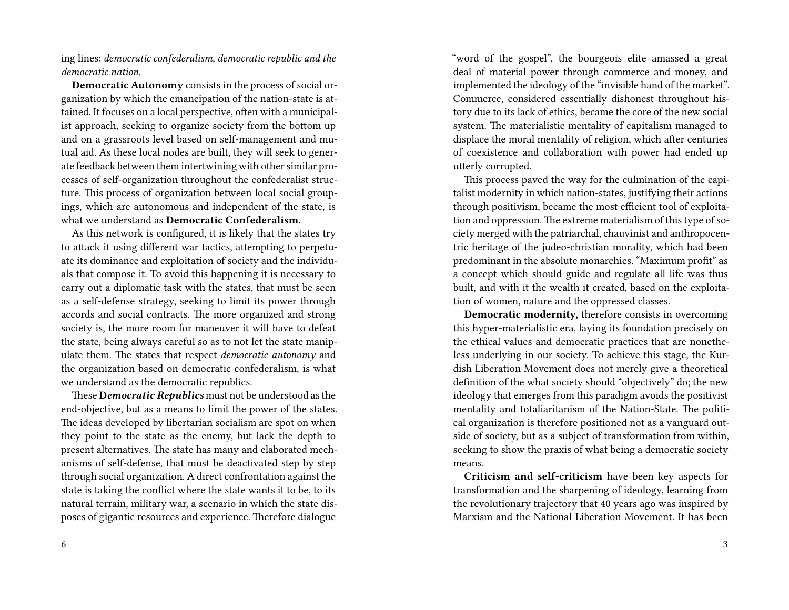ing lines: *democratic confederalism, democratic republic and the democratic nation.*

**Democratic Autonomy** consists in the process of social organization by which the emancipation of the nation-state is attained. It focuses on a local perspective, often with a municipalist approach, seeking to organize society from the bottom up and on a grassroots level based on self-management and mutual aid. As these local nodes are built, they will seek to generate feedback between them intertwining with other similar processes of self-organization throughout the confederalist structure. This process of organization between local social groupings, which are autonomous and independent of the state, is what we understand as **Democratic Confederalism.**

As this network is configured, it is likely that the states try to attack it using different war tactics, attempting to perpetuate its dominance and exploitation of society and the individuals that compose it. To avoid this happening it is necessary to carry out a diplomatic task with the states, that must be seen as a self-defense strategy, seeking to limit its power through accords and social contracts. The more organized and strong society is, the more room for maneuver it will have to defeat the state, being always careful so as to not let the state manipulate them. The states that respect *democratic autonomy* and the organization based on democratic confederalism, is what we understand as the democratic republics.

These **D***emocratic Republics* must not be understood as the end-objective, but as a means to limit the power of the states. The ideas developed by libertarian socialism are spot on when they point to the state as the enemy, but lack the depth to present alternatives. The state has many and elaborated mechanisms of self-defense, that must be deactivated step by step through social organization. A direct confrontation against the state is taking the conflict where the state wants it to be, to its natural terrain, military war, a scenario in which the state disposes of gigantic resources and experience. Therefore dialogue

"word of the gospel", the bourgeois elite amassed a great deal of material power through commerce and money, and implemented the ideology of the "invisible hand of the market". Commerce, considered essentially dishonest throughout history due to its lack of ethics, became the core of the new social system. The materialistic mentality of capitalism managed to displace the moral mentality of religion, which after centuries of coexistence and collaboration with power had ended up utterly corrupted.

This process paved the way for the culmination of the capitalist modernity in which nation-states, justifying their actions through positivism, became the most efficient tool of exploitation and oppression. The extreme materialism of this type of society merged with the patriarchal, chauvinist and anthropocentric heritage of the judeo-christian morality, which had been predominant in the absolute monarchies. "Maximum profit" as a concept which should guide and regulate all life was thus built, and with it the wealth it created, based on the exploitation of women, nature and the oppressed classes.

**Democratic modernity,** therefore consists in overcoming this hyper-materialistic era, laying its foundation precisely on the ethical values and democratic practices that are nonetheless underlying in our society. To achieve this stage, the Kurdish Liberation Movement does not merely give a theoretical definition of the what society should "objectively" do; the new ideology that emerges from this paradigm avoids the positivist mentality and totaliaritanism of the Nation-State. The political organization is therefore positioned not as a vanguard outside of society, but as a subject of transformation from within, seeking to show the praxis of what being a democratic society means.

**Criticism and self-criticism** have been key aspects for transformation and the sharpening of ideology, learning from the revolutionary trajectory that 40 years ago was inspired by Marxism and the National Liberation Movement. It has been